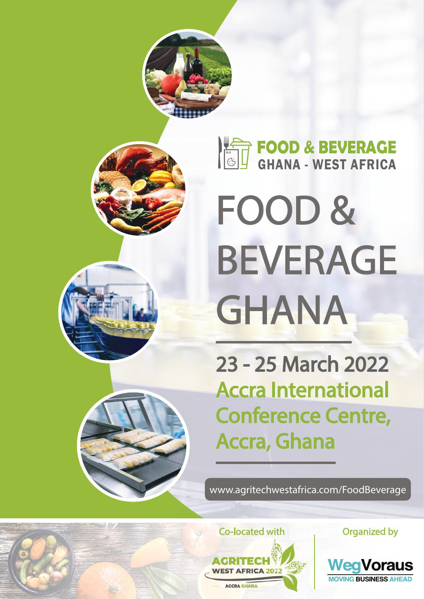

# FOOD & BEVERAGE GHANA

23 - 25 March 2022 Accra International Conference Centre, Accra, Ghana

www.agritechwestafrica.com/FoodBeverage



Organized by

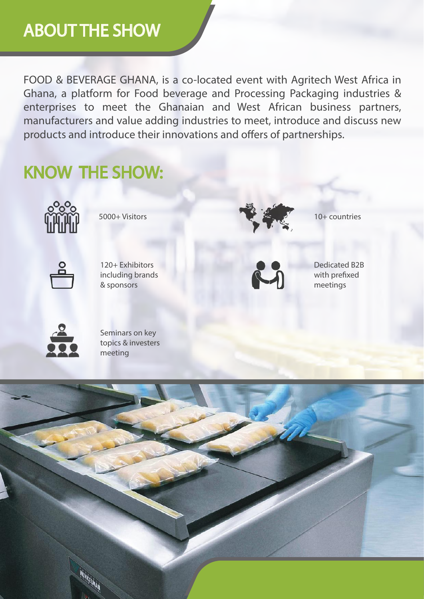## ABOUT THE SHOW

FOOD & BEVERAGE GHANA, is a co-located event with Agritech West Africa in Ghana, a platform for Food beverage and Processing Packaging industries & enterprises to meet the Ghanaian and West African business partners, manufacturers and value adding industries to meet, introduce and discuss new products and introduce their innovations and offers of partnerships.

## KNOW THE SHOW:



5000+ Visitors



120+ Exhibitors including brands & sponsors



10+ countries



Dedicated B2B with prefixed meetings



Seminars on key topics & investers meeting

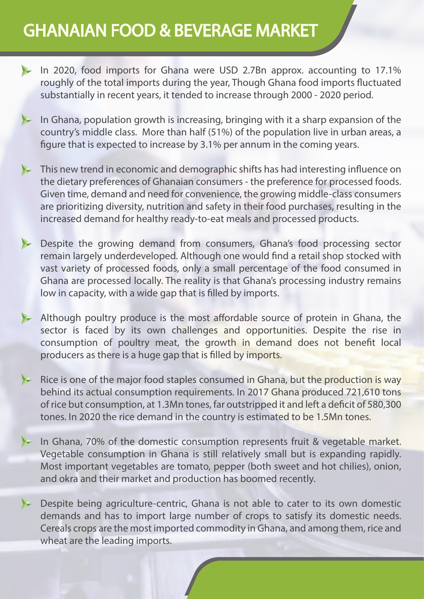## GHANAIAN FOOD & BEVERAGE MARKET

- In 2020, food imports for Ghana were USD 2.7Bn approx. accounting to 17.1% roughly of the total imports during the year, Though Ghana food imports fluctuated substantially in recent years, it tended to increase through 2000 - 2020 period.
- In Ghana, population growth is increasing, bringing with it a sharp expansion of the country's middle class. More than half (51%) of the population live in urban areas, a figure that is expected to increase by 3.1% per annum in the coming years.
- This new trend in economic and demographic shifts has had interesting influence on the dietary preferences of Ghanaian consumers - the preference for processed foods. Given time, demand and need for convenience, the growing middle-class consumers are prioritizing diversity, nutrition and safety in their food purchases, resulting in the increased demand for healthy ready-to-eat meals and processed products.
- Despite the growing demand from consumers, Ghana's food processing sector remain largely underdeveloped. Although one would find a retail shop stocked with vast variety of processed foods, only a small percentage of the food consumed in Ghana are processed locally. The reality is that Ghana's processing industry remains low in capacity, with a wide gap that is filled by imports.
- Although poultry produce is the most affordable source of protein in Ghana, the sector is faced by its own challenges and opportunities. Despite the rise in consumption of poultry meat, the growth in demand does not benefit local producers as there is a huge gap that is filled by imports.
- Rice is one of the major food staples consumed in Ghana, but the production is way behind its actual consumption requirements. In 2017 Ghana produced 721,610 tons of rice but consumption, at 1.3Mn tones, far outstripped it and left a deficit of 580,300 tones. In 2020 the rice demand in the country is estimated to be 1.5Mn tones.
- In Ghana, 70% of the domestic consumption represents fruit & vegetable market. Vegetable consumption in Ghana is still relatively small but is expanding rapidly. Most important vegetables are tomato, pepper (both sweet and hot chilies), onion, and okra and their market and production has boomed recently.
- $\blacktriangleright$ Despite being agriculture-centric, Ghana is not able to cater to its own domestic demands and has to import large number of crops to satisfy its domestic needs. Cereals crops are the most imported commodity in Ghana, and among them, rice and wheat are the leading imports.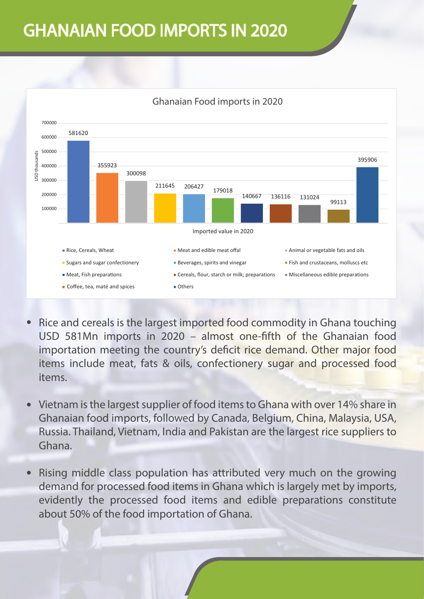## GHANAIAN FOOD IMPORTS IN 2020



#### Ghanaian Food imports in 2020

- Rice and cereals is the largest imported food commodity in Ghana touching USD 581Mn imports in 2020 - almost one-fifth of the Ghanaian food importation meeting the country's deficit rice demand. Other major food items include meat, fats & oils, confectionery sugar and processed food items.
- Vietnam is the largest supplier of food items to Ghana with over 14% share in  $\bullet$ Ghanaian food imports, followed by Canada, Belgium, China, Malaysia, USA, Russia. Thailand, Vietnam, India and Pakistan are the largest rice suppliers to Ghana
- Rising middle class population has attributed very much on the growing demand for processed food items in Ghana which is largely met by imports, evidently the processed food items and edible preparations constitute about 50% of the food importation of Ghana.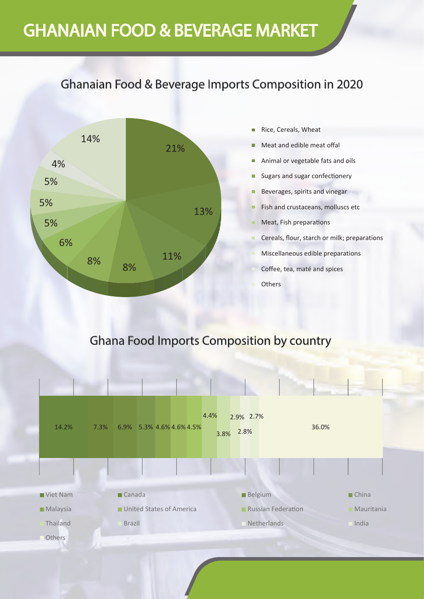## GHANAIAN FOOD & BEVERAGE MARKET

#### Ghanaian Food & Beverage Imports Composition in 2020



#### **Ghana Food Imports Composition by country**

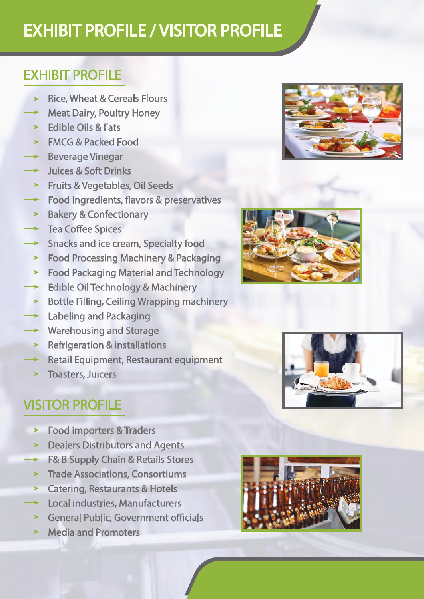## EXHIBIT PROFILE / VISITOR PROFILE

#### EXHIBIT PROFILE

- **Rice, Wheat & Cereals Flours**
- **Meat Dairy, Poultry Honey**
- **Edible Oils & Fats**
- **FMCG & Packed Food**
- **Beverage Vinegar**
- Juices & Soft Drinks
- Fruits & Vegetables, Oil Seeds
- Food Ingredients, flavors & preservatives
- **Bakery & Confectionary**
- **Tea Coffee Spices**
- **Snacks and ice cream, Specialty food**
- **Food Processing Machinery & Packaging**
- **Food Packaging Material and Technology**
- **Edible Oil Technology & Machinery**
- **Bottle Filling, Ceiling Wrapping machinery**  $\rightarrow$
- $\rightarrow$ **Labeling and Packaging**
- **Warehousing and Storage**
- **Refrigeration & installations**
- **Retail Equipment, Restaurant equipment**
- **Toasters, Juicers**

## VISITOR PROFILE

- **Food importers & Traders**
- **Dealers Distributors and Agents**
- F& B Supply Chain & Retails Stores
- **Trade Associations, Consortiums**
- **Catering, Restaurants & Hotels**
- Local industries, Manufacturers
- **General Public, Government officials**
- **Media and Promoters**